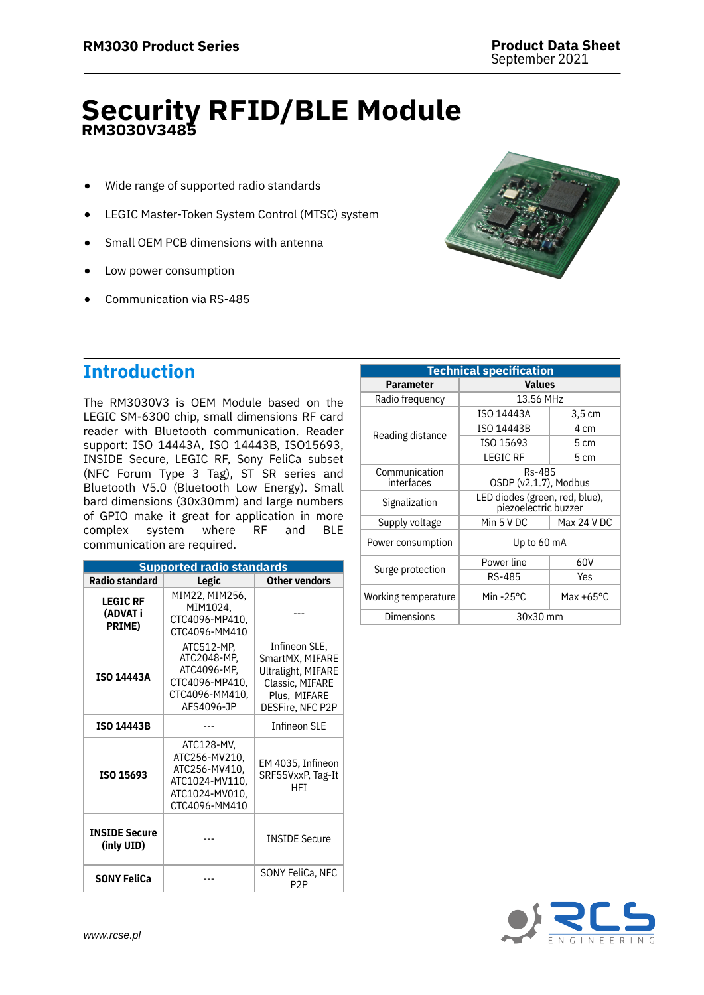# **Security RFID/BLE Module RM3030V3485**

- Wide range of supported radio standards
- LEGIC Master-Token System Control (MTSC) system
- Small OEM PCB dimensions with antenna
- Low power consumption
- Communication via RS-485



# **Introduction**

The RM3030V3 is OEM Module based on the LEGIC SM-6300 chip, small dimensions RF card reader with Bluetooth communication. Reader support: ISO 14443A, ISO 14443B, ISO15693, INSIDE Secure, LEGIC RF, Sony FeliCa subset (NFC Forum Type 3 Tag), ST SR series and Bluetooth V5.0 (Bluetooth Low Energy). Small bard dimensions (30x30mm) and large numbers of GPIO make it great for application in more complex system where RF and BLE communication are required.

| <b>Supported radio standards</b>              |                                                                                                   |                                                                                                               |  |
|-----------------------------------------------|---------------------------------------------------------------------------------------------------|---------------------------------------------------------------------------------------------------------------|--|
| <b>Radio standard</b>                         | Legic                                                                                             | <b>Other vendors</b>                                                                                          |  |
| <b>LEGIC RF</b><br>(ADVAT i<br><b>PRIME</b> ) | MIM22, MIM256,<br>MIM1024.<br>CTC4096-MP410,<br>CTC4096-MM410                                     |                                                                                                               |  |
| <b>ISO 14443A</b>                             | ATC512-MP.<br>ATC2048-MP,<br>ATC4096-MP,<br>CTC4096-MP410,<br>CTC4096-MM410,<br>AFS4096-JP        | Infineon SLE.<br>SmartMX, MIFARE<br>Ultralight, MIFARE<br>Classic, MIFARE<br>Plus, MIFARE<br>DESFire, NFC P2P |  |
| <b>ISO 14443B</b>                             |                                                                                                   | <b>Infineon SLE</b>                                                                                           |  |
| ISO 15693                                     | ATC128-MV,<br>ATC256-MV210.<br>ATC256-MV410,<br>ATC1024-MV110,<br>ATC1024-MV010,<br>CTC4096-MM410 | EM 4035, Infineon<br>SRF55VxxP, Tag-It<br>HFT                                                                 |  |
| <b>INSIDE Secure</b><br>(inly UID)            |                                                                                                   | <b>INSIDE Secure</b>                                                                                          |  |
| <b>SONY FeliCa</b>                            |                                                                                                   | SONY FeliCa, NFC<br>P2P                                                                                       |  |

| <b>Technical specification</b> |                                                        |                              |
|--------------------------------|--------------------------------------------------------|------------------------------|
| <b>Parameter</b>               | <b>Values</b>                                          |                              |
| Radio frequency                | 13.56 MHz                                              |                              |
|                                | ISO 14443A                                             | $3.5 \text{ cm}$             |
|                                | ISO 14443B                                             | 4 cm                         |
| Reading distance               | ISO 15693                                              | 5 cm                         |
|                                | <b>LEGIC RF</b>                                        | 5 cm                         |
| Communication<br>interfaces    | Rs-485<br>OSDP (v2.1.7), Modbus                        |                              |
| Signalization                  | LED diodes (green, red, blue),<br>piezoelectric buzzer |                              |
| Supply voltage                 | Min 5 V DC                                             | Max 24 V DC                  |
| Power consumption              | Up to 60 mA                                            |                              |
| Surge protection               | Power line                                             | 60V                          |
|                                | RS-485                                                 | Yes                          |
| Working temperature            | Min-25 $\degree$ C                                     | Max +65 $\mathrm{^{\circ}C}$ |
| Dimensions                     | 30x30 mm                                               |                              |

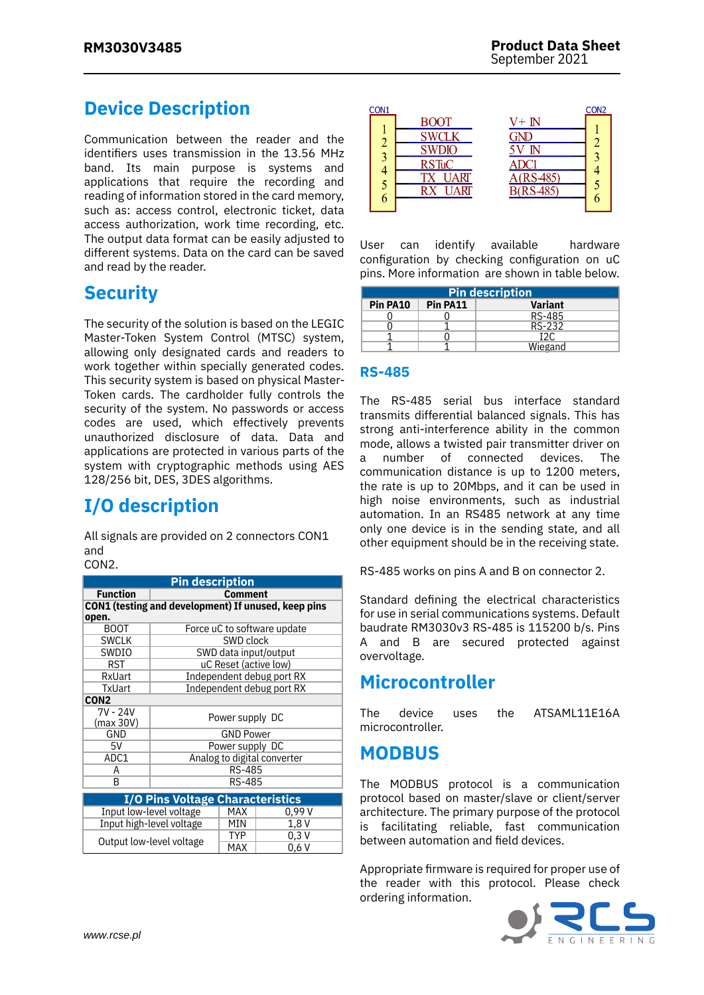# **Device Description**

Communication between the reader and the identifiers uses transmission in the 13.56 MHz band. Its main purpose is systems and applications that require the recording and reading of information stored in the card memory, such as: access control, electronic ticket, data access authorization, work time recording, etc. The output data format can be easily adjusted to different systems. Data on the card can be saved and read by the reader.

### **Security**

The security of the solution is based on the LEGIC Master-Token System Control (MTSC) system, allowing only designated cards and readers to work together within specially generated codes. This security system is based on physical Master-Token cards. The cardholder fully controls the security of the system. No passwords or access codes are used, which effectively prevents unauthorized disclosure of data. Data and applications are protected in various parts of the system with cryptographic methods using AES 128/256 bit, DES, 3DES algorithms.

# **I/O description**

All signals are provided on 2 connectors CON1 and

CON<sub>2</sub>

| <b>Pin description</b>                              |                             |                           |       |
|-----------------------------------------------------|-----------------------------|---------------------------|-------|
| <b>Function</b>                                     | <b>Comment</b>              |                           |       |
| CON1 (testing and development) If unused, keep pins |                             |                           |       |
| open.                                               |                             |                           |       |
| <b>BOOT</b>                                         | Force uC to software update |                           |       |
| <b>SWCLK</b>                                        | SWD clock                   |                           |       |
| SWDIO                                               | SWD data input/output       |                           |       |
| RST                                                 | uC Reset (active low)       |                           |       |
| RxUart                                              | Independent debug port RX   |                           |       |
| TxUart                                              |                             | Independent debug port RX |       |
| CON2                                                |                             |                           |       |
| 7V - 24V                                            |                             |                           |       |
| (max 30V)                                           | Power supply DC             |                           |       |
| GND                                                 | <b>GND Power</b>            |                           |       |
| 5٧                                                  | Power supply DC             |                           |       |
| ADC1                                                | Analog to digital converter |                           |       |
| A                                                   | RS-485                      |                           |       |
| B                                                   | RS-485                      |                           |       |
| <b>I/O Pins Voltage Characteristics</b>             |                             |                           |       |
|                                                     |                             | MAX                       | 0.99V |
| Input low-level voltage                             |                             |                           |       |
| Input high-level voltage                            |                             | MIN                       | 1.8 V |
| Output low-level voltage                            |                             | TYP                       | 0.3V  |
|                                                     |                             | MAX                       | 0.6V  |



User can identify available hardware configuration by checking configuration on uC pins. More information are shown in table below.

| <b>Pin description</b> |          |                |  |
|------------------------|----------|----------------|--|
| Pin PA10               | Pin PA11 | <b>Variant</b> |  |
|                        |          | RS-485         |  |
|                        |          | RS-232         |  |
|                        |          | 12C            |  |
|                        |          | Wiegand        |  |

#### **RS-485**

The RS-485 serial bus interface standard transmits differential balanced signals. This has strong anti-interference ability in the common mode, allows a twisted pair transmitter driver on a number of connected devices. The communication distance is up to 1200 meters, the rate is up to 20Mbps, and it can be used in high noise environments, such as industrial automation. In an RS485 network at any time only one device is in the sending state, and all other equipment should be in the receiving state.

RS-485 works on pins A and B on connector 2.

Standard defining the electrical characteristics for use in serial communications systems. Default baudrate RM3030v3 RS-485 is 115200 b/s. Pins A and B are secured protected against overvoltage.

#### **Microcontroller**

The device uses the ATSAML11E16A microcontroller.

## **MODBUS**

The MODBUS protocol is a communication protocol based on master/slave or client/server architecture. The primary purpose of the protocol is facilitating reliable, fast communication between automation and field devices.

Appropriate firmware is required for proper use of the reader with this protocol. Please check ordering information.

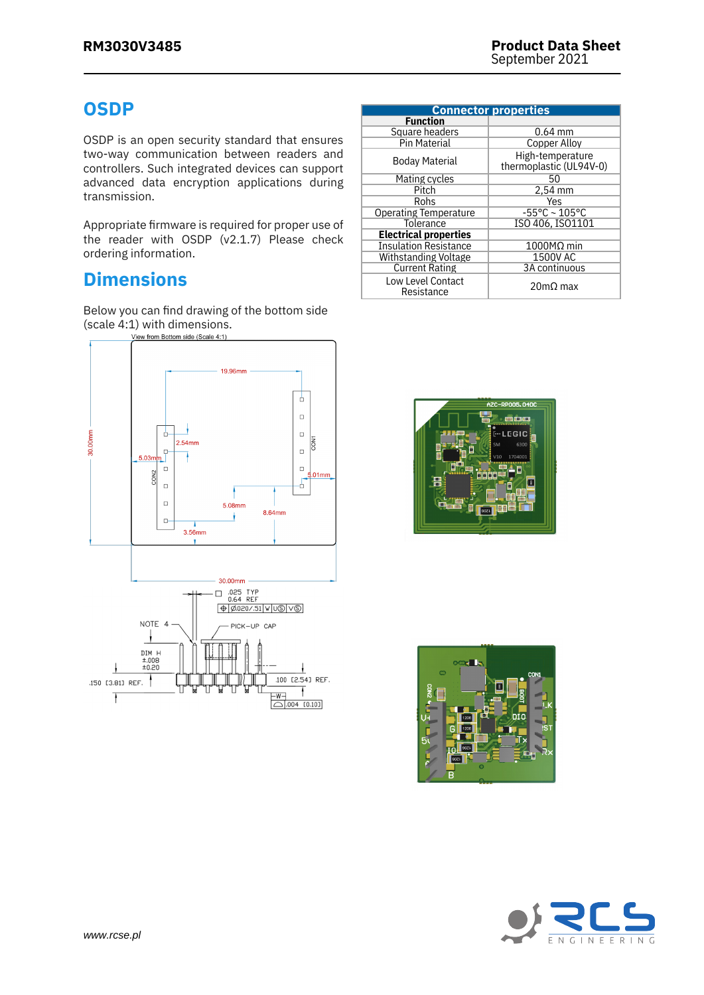## **OSDP**

OSDP is an open security standard that ensures two-way communication between readers and controllers. Such integrated devices can support advanced data encryption applications during transmission.

Appropriate firmware is required for proper use of the reader with OSDP (v2.1.7) Please check ordering information.

# **Dimensions**

Below you can find drawing of the bottom side (scale 4:1) with dimensions.<br> $\frac{V_{\text{iew from Bottom side (Scale 4:1)}}}{V_{\text{flow from Bottom side (Scale 4:1)}}$ 



| <b>Connector properties</b>     |                                             |  |
|---------------------------------|---------------------------------------------|--|
| <b>Function</b>                 |                                             |  |
| Square headers                  | $0.64$ mm                                   |  |
| <b>Pin Material</b>             | Copper Alloy                                |  |
| Boday Material                  | High-temperature<br>thermoplastic (UL94V-0) |  |
| Mating cycles                   | 50                                          |  |
| Pitch                           | 2,54 mm                                     |  |
| Rohs                            | Yes                                         |  |
| <b>Operating Temperature</b>    | $-55^{\circ}$ C ~ 105°C                     |  |
| Tolerance                       | ISO 406. ISO1101                            |  |
| <b>Electrical properties</b>    |                                             |  |
| <b>Insulation Resistance</b>    | $1000$ MΩ min                               |  |
| Withstanding Voltage            | 1500V AC                                    |  |
| <b>Current Rating</b>           | 3A continuous                               |  |
| Low Level Contact<br>Resistance | $20 \text{m}\Omega$ max                     |  |